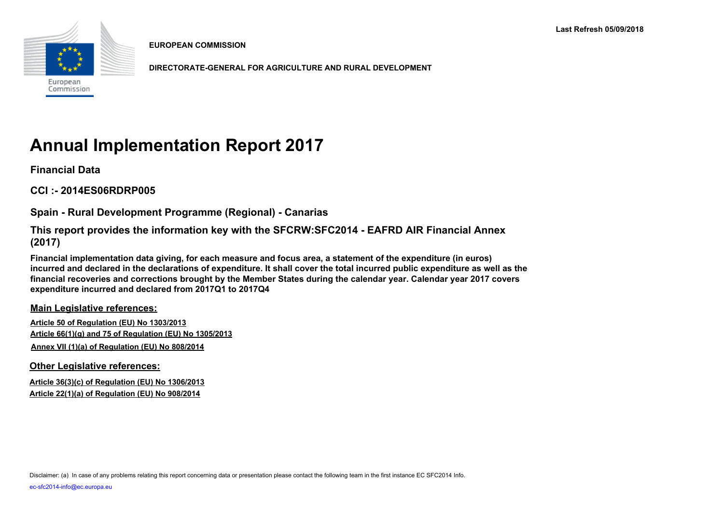

**EUROPEAN COMMISSION**

**DIRECTORATE-GENERAL FOR AGRICULTURE AND RURAL DEVELOPMENT**

# **Annual Implementation Report 2017**

**Financial Data**

**CCI :- 2014ES06RDRP005**

**Spain - Rural Development Programme (Regional) - Canarias**

**This report provides the information key with the SFCRW:SFC2014 - EAFRD AIR Financial Annex (2017)**

**Financial implementation data giving, for each measure and focus area, a statement of the expenditure (in euros) incurred and declared in the declarations of expenditure. It shall cover the total incurred public expenditure as well as the financial recoveries and corrections brought by the Member States during the calendar year. Calendar year 2017 covers expenditure incurred and declared from 2017Q1 to 2017Q4**

**Main Legislative references:**

**Article 50 of Regulation (EU) No 1303/2013 Article 66(1)(g) and 75 of Regulation (EU) No 1305/2013 Annex VII (1)(a) of Regulation (EU) No 808/2014**

**Other Legislative references:**

**Article 36(3)(c) of Regulation (EU) No 1306/2013 Article 22(1)(a) of Regulation (EU) No 908/2014**

Disclaimer: (a) In case of any problems relating this report concerning data or presentation please contact the following team in the first instance EC SFC2014 Info.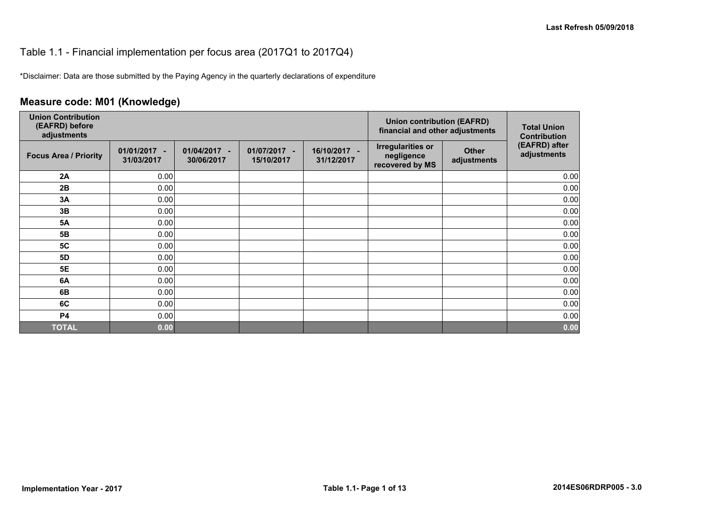#### Table 1.1 - Financial implementation per focus area (2017Q1 to 2017Q4)

\*Disclaimer: Data are those submitted by the Paying Agency in the quarterly declarations of expenditure

## **Measure code: M01 (Knowledge)**

| <b>Union Contribution</b><br>(EAFRD) before<br>adjustments |                            |                               |                            |                            | <b>Union contribution (EAFRD)</b><br>financial and other adjustments |                             | <b>Total Union</b><br><b>Contribution</b> |
|------------------------------------------------------------|----------------------------|-------------------------------|----------------------------|----------------------------|----------------------------------------------------------------------|-----------------------------|-------------------------------------------|
| <b>Focus Area / Priority</b>                               | 01/01/2017 -<br>31/03/2017 | 01/04/2017<br>٠<br>30/06/2017 | 01/07/2017 -<br>15/10/2017 | 16/10/2017 -<br>31/12/2017 | <b>Irregularities or</b><br>negligence<br>recovered by MS            | <b>Other</b><br>adjustments | (EAFRD) after<br>adjustments              |
| 2A                                                         | 0.00                       |                               |                            |                            |                                                                      |                             | 0.00                                      |
| 2B                                                         | 0.00                       |                               |                            |                            |                                                                      |                             | 0.00                                      |
| 3A                                                         | 0.00                       |                               |                            |                            |                                                                      |                             | 0.00                                      |
| 3B                                                         | 0.00                       |                               |                            |                            |                                                                      |                             | 0.00                                      |
| <b>5A</b>                                                  | 0.00                       |                               |                            |                            |                                                                      |                             | 0.00                                      |
| 5B                                                         | 0.00                       |                               |                            |                            |                                                                      |                             | 0.00                                      |
| <b>5C</b>                                                  | 0.00                       |                               |                            |                            |                                                                      |                             | 0.00                                      |
| 5D                                                         | 0.00                       |                               |                            |                            |                                                                      |                             | 0.00                                      |
| <b>5E</b>                                                  | 0.00                       |                               |                            |                            |                                                                      |                             | 0.00                                      |
| 6A                                                         | 0.00                       |                               |                            |                            |                                                                      |                             | 0.00                                      |
| 6B                                                         | 0.00                       |                               |                            |                            |                                                                      |                             | 0.00                                      |
| 6C                                                         | 0.00                       |                               |                            |                            |                                                                      |                             | 0.00                                      |
| <b>P4</b>                                                  | 0.00                       |                               |                            |                            |                                                                      |                             | 0.00                                      |
| <b>TOTAL</b>                                               | 0.00                       |                               |                            |                            |                                                                      |                             | 0.00                                      |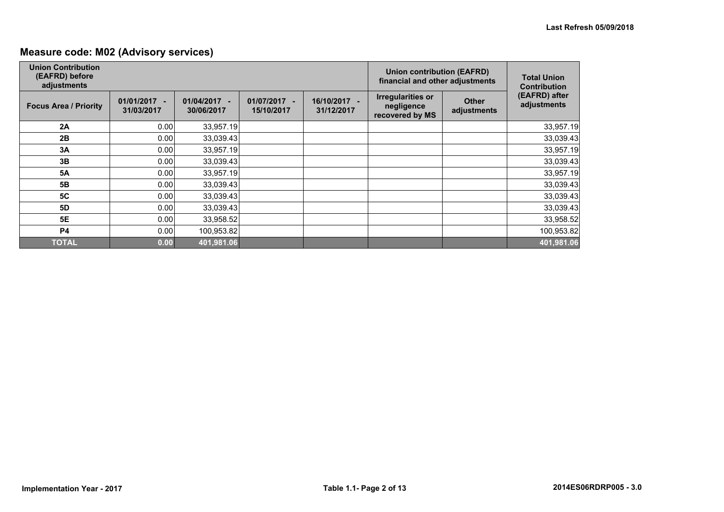## **Measure code: M02 (Advisory services)**

| <b>Union Contribution</b><br>(EAFRD) before<br>adjustments |                              |                                            |                                    | <b>Union contribution (EAFRD)</b><br>financial and other adjustments | <b>Total Union</b><br><b>Contribution</b>                 |                             |                              |
|------------------------------------------------------------|------------------------------|--------------------------------------------|------------------------------------|----------------------------------------------------------------------|-----------------------------------------------------------|-----------------------------|------------------------------|
| <b>Focus Area / Priority</b>                               | $01/01/2017 -$<br>31/03/2017 | 01/04/2017<br>$\blacksquare$<br>30/06/2017 | 01/07/2017<br>$\sim$<br>15/10/2017 | 16/10/2017 -<br>31/12/2017                                           | <b>Irregularities or</b><br>negligence<br>recovered by MS | <b>Other</b><br>adjustments | (EAFRD) after<br>adjustments |
| 2A                                                         | 0.00                         | 33,957.19                                  |                                    |                                                                      |                                                           |                             | 33,957.19                    |
| 2B                                                         | 0.00                         | 33,039.43                                  |                                    |                                                                      |                                                           |                             | 33,039.43                    |
| 3A                                                         | 0.00                         | 33,957.19                                  |                                    |                                                                      |                                                           |                             | 33,957.19                    |
| 3B                                                         | 0.00                         | 33,039.43                                  |                                    |                                                                      |                                                           |                             | 33,039.43                    |
| <b>5A</b>                                                  | 0.00                         | 33,957.19                                  |                                    |                                                                      |                                                           |                             | 33,957.19                    |
| 5B                                                         | 0.00                         | 33,039.43                                  |                                    |                                                                      |                                                           |                             | 33,039.43                    |
| <b>5C</b>                                                  | 0.00                         | 33,039.43                                  |                                    |                                                                      |                                                           |                             | 33,039.43                    |
| 5D                                                         | 0.00                         | 33,039.43                                  |                                    |                                                                      |                                                           |                             | 33,039.43                    |
| 5E                                                         | 0.00                         | 33,958.52                                  |                                    |                                                                      |                                                           |                             | 33,958.52                    |
| <b>P4</b>                                                  | 0.00                         | 100,953.82                                 |                                    |                                                                      |                                                           |                             | 100,953.82                   |
| <b>TOTAL</b>                                               | 0.00                         | 401,981.06                                 |                                    |                                                                      |                                                           |                             | 401,981.06                   |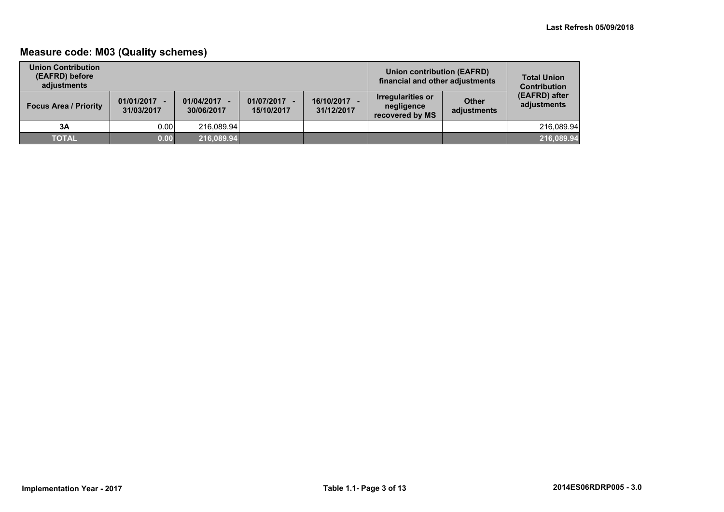## **Measure code: M03 (Quality schemes)**

| <b>Union Contribution</b><br>(EAFRD) before<br>adiustments |                              |                          |                            |                          | Union contribution (EAFRD)<br>financial and other adjustments |                             | <b>Total Union</b><br><b>Contribution</b> |
|------------------------------------------------------------|------------------------------|--------------------------|----------------------------|--------------------------|---------------------------------------------------------------|-----------------------------|-------------------------------------------|
| <b>Focus Area / Priority</b>                               | $01/01/2017 -$<br>31/03/2017 | 01/04/2017<br>30/06/2017 | 01/07/2017 -<br>15/10/2017 | 16/10/2017<br>31/12/2017 | <b>Irregularities or</b><br>negligence<br>recovered by MS     | <b>Other</b><br>adjustments | (EAFRD) after<br>adjustments              |
| 3A                                                         | 0.00                         | 216.089.94               |                            |                          |                                                               |                             | 216.089.94                                |
| <b>TOTAL</b>                                               | 0.00                         | 216,089.94               |                            |                          |                                                               |                             | 216,089.94                                |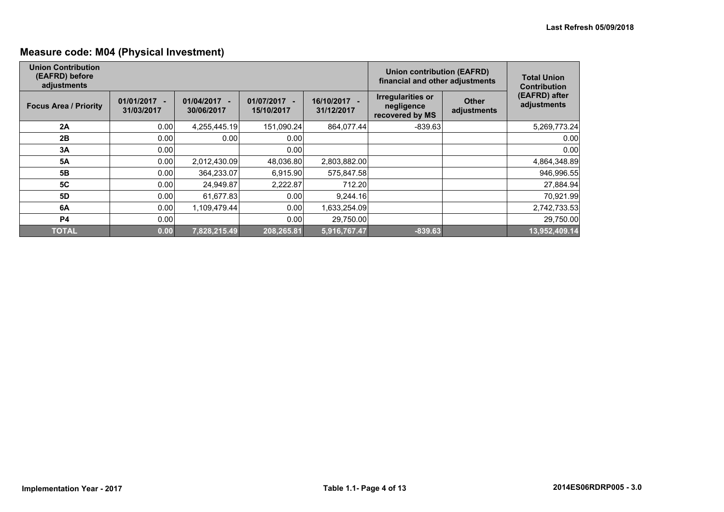## **Measure code: M04 (Physical Investment)**

| <b>Union Contribution</b><br>(EAFRD) before<br>adjustments |                            |                                                      |                            | <b>Union contribution (EAFRD)</b><br>financial and other adjustments | <b>Total Union</b><br><b>Contribution</b>                 |                             |                              |
|------------------------------------------------------------|----------------------------|------------------------------------------------------|----------------------------|----------------------------------------------------------------------|-----------------------------------------------------------|-----------------------------|------------------------------|
| <b>Focus Area / Priority</b>                               | 01/01/2017 -<br>31/03/2017 | 01/04/2017<br>$\overline{\phantom{a}}$<br>30/06/2017 | 01/07/2017 -<br>15/10/2017 | 16/10/2017 -<br>31/12/2017                                           | <b>Irregularities or</b><br>negligence<br>recovered by MS | <b>Other</b><br>adjustments | (EAFRD) after<br>adjustments |
| 2A                                                         | 0.00                       | 4,255,445.19                                         | 151,090.24                 | 864,077.44                                                           | $-839.63$                                                 |                             | 5,269,773.24                 |
| 2B                                                         | 0.00                       | 0.00                                                 | 0.00                       |                                                                      |                                                           |                             | 0.00                         |
| 3A                                                         | 0.00                       |                                                      | 0.00                       |                                                                      |                                                           |                             | 0.00                         |
| <b>5A</b>                                                  | 0.00                       | 2,012,430.09                                         | 48,036.80                  | 2,803,882.00                                                         |                                                           |                             | 4,864,348.89                 |
| 5 <b>B</b>                                                 | 0.00                       | 364,233.07                                           | 6,915.90                   | 575,847.58                                                           |                                                           |                             | 946,996.55                   |
| <b>5C</b>                                                  | 0.00                       | 24,949.87                                            | 2,222.87                   | 712.20                                                               |                                                           |                             | 27,884.94                    |
| 5D                                                         | 0.00                       | 61,677.83                                            | 0.00                       | 9,244.16                                                             |                                                           |                             | 70,921.99                    |
| 6A                                                         | 0.00                       | 1,109,479.44                                         | 0.00                       | 1,633,254.09                                                         |                                                           |                             | 2,742,733.53                 |
| <b>P4</b>                                                  | 0.00                       |                                                      | 0.00                       | 29,750.00                                                            |                                                           |                             | 29,750.00                    |
| <b>TOTAL</b>                                               | 0.00                       | 7,828,215.49                                         | 208,265.81                 | 5,916,767.47                                                         | $-839.63$                                                 |                             | 13,952,409.14                |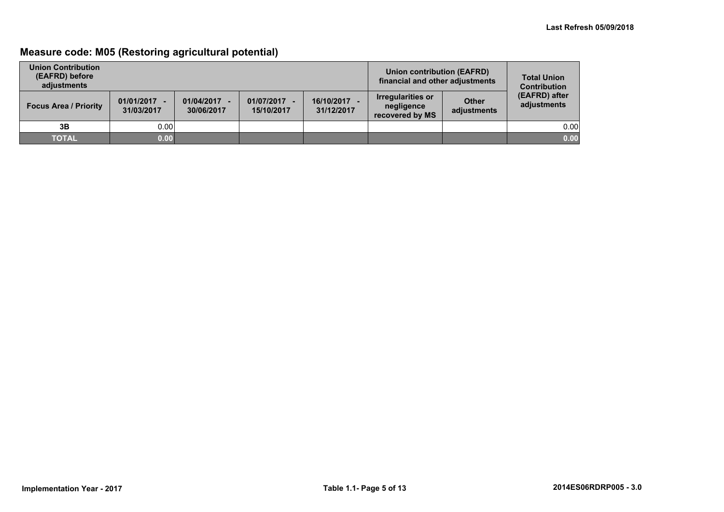## **Measure code: M05 (Restoring agricultural potential)**

| <b>Union Contribution</b><br>(EAFRD) before<br>adiustments |                              |                          |                            | Union contribution (EAFRD)<br>financial and other adjustments | <b>Total Union</b><br><b>Contribution</b>                 |                             |                              |
|------------------------------------------------------------|------------------------------|--------------------------|----------------------------|---------------------------------------------------------------|-----------------------------------------------------------|-----------------------------|------------------------------|
| <b>Focus Area / Priority</b>                               | $01/01/2017 -$<br>31/03/2017 | 01/04/2017<br>30/06/2017 | 01/07/2017 -<br>15/10/2017 | 16/10/2017<br>31/12/2017                                      | <b>Irregularities or</b><br>negligence<br>recovered by MS | <b>Other</b><br>adjustments | (EAFRD) after<br>adjustments |
| 3B                                                         | 0.001                        |                          |                            |                                                               |                                                           |                             | 0.00                         |
| <b>TOTAL</b>                                               | 0.00                         |                          |                            |                                                               |                                                           |                             | 0.00                         |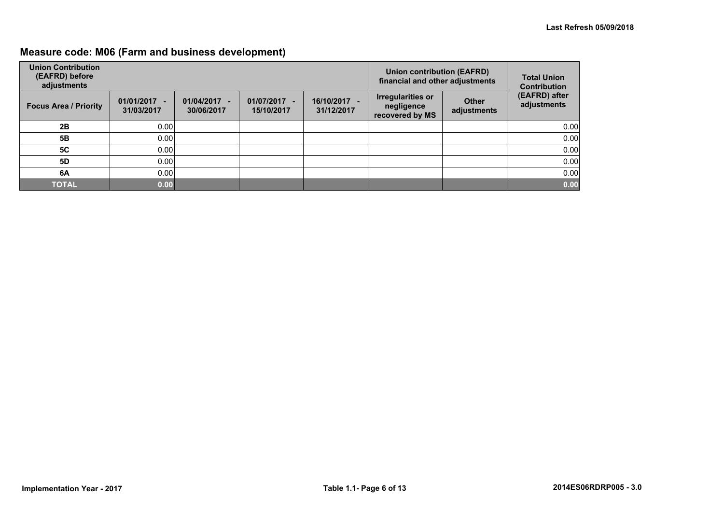## **Measure code: M06 (Farm and business development)**

| <b>Union Contribution</b><br>(EAFRD) before<br>adjustments |                              |                                                      |                            |                          | Union contribution (EAFRD)<br>financial and other adjustments |                             | <b>Total Union</b><br><b>Contribution</b> |
|------------------------------------------------------------|------------------------------|------------------------------------------------------|----------------------------|--------------------------|---------------------------------------------------------------|-----------------------------|-------------------------------------------|
| <b>Focus Area / Priority</b>                               | $01/01/2017 -$<br>31/03/2017 | 01/04/2017<br>$\overline{\phantom{a}}$<br>30/06/2017 | 01/07/2017 -<br>15/10/2017 | 16/10/2017<br>31/12/2017 | Irregularities or<br>negligence<br>recovered by MS            | <b>Other</b><br>adjustments | (EAFRD) after<br>adjustments              |
| 2B                                                         | 0.00                         |                                                      |                            |                          |                                                               |                             | 0.00                                      |
| 5B                                                         | 0.00                         |                                                      |                            |                          |                                                               |                             | 0.00                                      |
| <b>5C</b>                                                  | 0.00                         |                                                      |                            |                          |                                                               |                             | 0.00                                      |
| 5D                                                         | 0.00                         |                                                      |                            |                          |                                                               |                             | 0.00                                      |
| 6A                                                         | 0.00                         |                                                      |                            |                          |                                                               |                             | 0.00                                      |
| <b>TOTAL</b>                                               | 0.00                         |                                                      |                            |                          |                                                               |                             | 0.00                                      |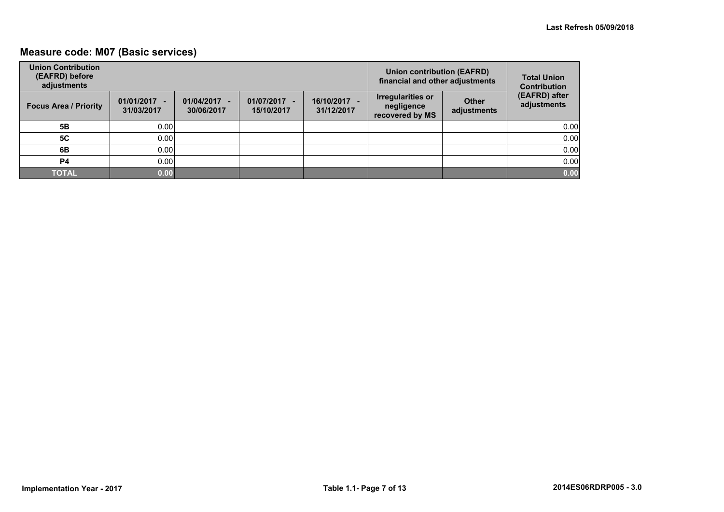## **Measure code: M07 (Basic services)**

| <b>Union Contribution</b><br>(EAFRD) before<br>adjustments |                              |                                                      |                            |                            | <b>Union contribution (EAFRD)</b><br>financial and other adjustments |                             | <b>Total Union</b><br><b>Contribution</b> |
|------------------------------------------------------------|------------------------------|------------------------------------------------------|----------------------------|----------------------------|----------------------------------------------------------------------|-----------------------------|-------------------------------------------|
| <b>Focus Area / Priority</b>                               | $01/01/2017 -$<br>31/03/2017 | 01/04/2017<br>$\overline{\phantom{a}}$<br>30/06/2017 | 01/07/2017 -<br>15/10/2017 | 16/10/2017 -<br>31/12/2017 | <b>Irregularities or</b><br>negligence<br>recovered by MS            | <b>Other</b><br>adjustments | (EAFRD) after<br>adjustments              |
| 5Β                                                         | 0.00                         |                                                      |                            |                            |                                                                      |                             | 0.00                                      |
| <b>5C</b>                                                  | 0.00                         |                                                      |                            |                            |                                                                      |                             | 0.00                                      |
| 6B                                                         | 0.00                         |                                                      |                            |                            |                                                                      |                             | 0.00                                      |
| P <sub>4</sub>                                             | 0.00                         |                                                      |                            |                            |                                                                      |                             | 0.00                                      |
| <b>TOTAL</b>                                               | 0.00                         |                                                      |                            |                            |                                                                      |                             | 0.00                                      |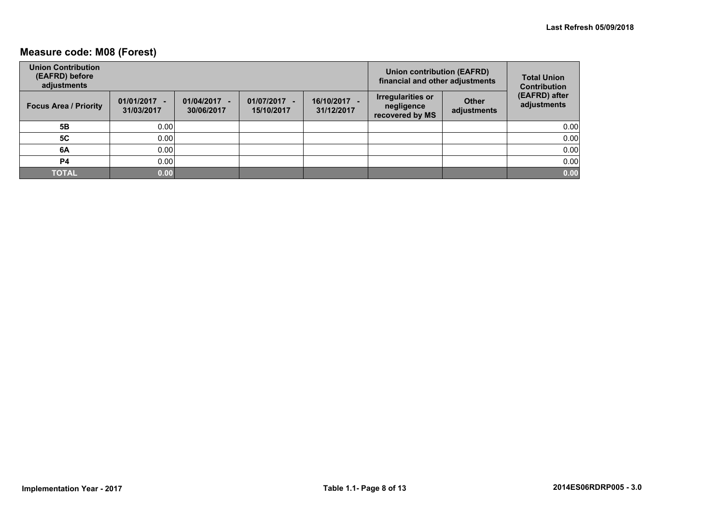## **Measure code: M08 (Forest)**

| <b>Union Contribution</b><br>(EAFRD) before<br>adjustments |                              |                                |                            | Union contribution (EAFRD)<br>financial and other adjustments | <b>Total Union</b><br><b>Contribution</b>                 |                             |                              |
|------------------------------------------------------------|------------------------------|--------------------------------|----------------------------|---------------------------------------------------------------|-----------------------------------------------------------|-----------------------------|------------------------------|
| <b>Focus Area / Priority</b>                               | $01/01/2017 -$<br>31/03/2017 | 01/04/2017<br>۰.<br>30/06/2017 | 01/07/2017 -<br>15/10/2017 | 16/10/2017 -<br>31/12/2017                                    | <b>Irregularities or</b><br>negligence<br>recovered by MS | <b>Other</b><br>adjustments | (EAFRD) after<br>adjustments |
| 5Β                                                         | 0.00                         |                                |                            |                                                               |                                                           |                             | 0.00                         |
| <b>5C</b>                                                  | 0.00                         |                                |                            |                                                               |                                                           |                             | 0.00                         |
| 6A                                                         | 0.00                         |                                |                            |                                                               |                                                           |                             | 0.00                         |
| P4                                                         | 0.00                         |                                |                            |                                                               |                                                           |                             | 0.00                         |
| <b>TOTAL</b>                                               | 0.00                         |                                |                            |                                                               |                                                           |                             | 0.00                         |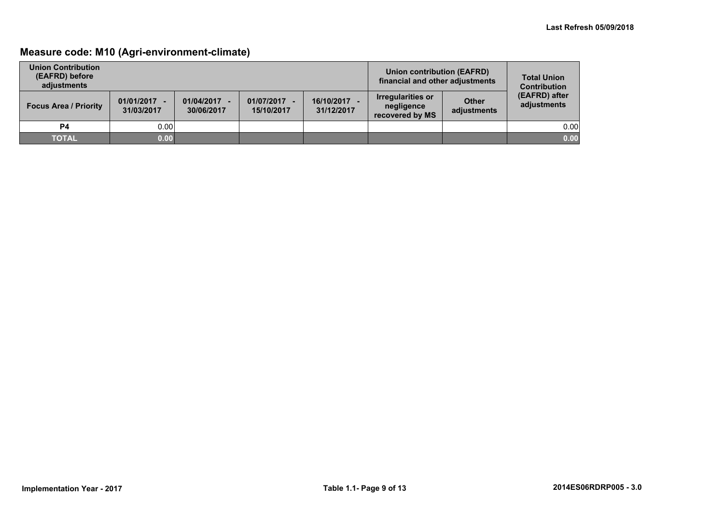## **Measure code: M10 (Agri-environment-climate)**

| <b>Union Contribution</b><br>(EAFRD) before<br>adjustments |                              |                          |                            |                          | <b>Union contribution (EAFRD)</b><br>financial and other adjustments |                             | <b>Total Union</b><br><b>Contribution</b> |
|------------------------------------------------------------|------------------------------|--------------------------|----------------------------|--------------------------|----------------------------------------------------------------------|-----------------------------|-------------------------------------------|
| <b>Focus Area / Priority</b>                               | $01/01/2017 -$<br>31/03/2017 | 01/04/2017<br>30/06/2017 | 01/07/2017 -<br>15/10/2017 | 16/10/2017<br>31/12/2017 | Irregularities or<br>negligence<br>recovered by MS                   | <b>Other</b><br>adjustments | (EAFRD) after<br>adjustments              |
| P4                                                         | 0.00                         |                          |                            |                          |                                                                      |                             | 0.00                                      |
| <b>TOTAL</b>                                               | 0.00                         |                          |                            |                          |                                                                      |                             | 0.00                                      |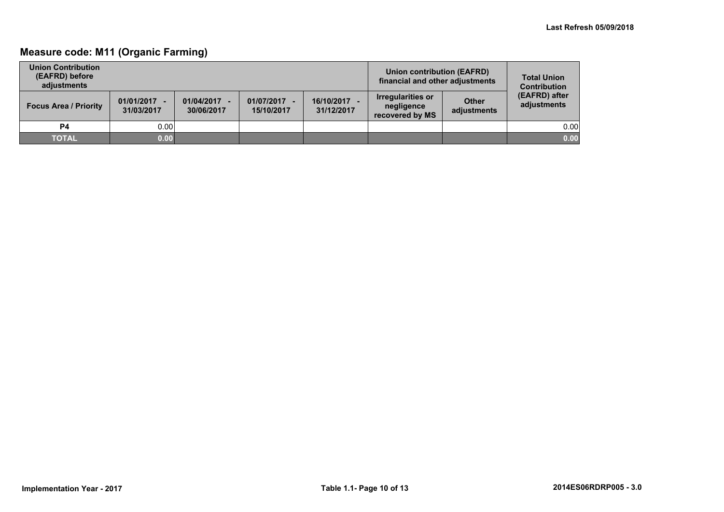## **Measure code: M11 (Organic Farming)**

| <b>Union Contribution</b><br>(EAFRD) before<br>adiustments |                              |                          |                            | Union contribution (EAFRD)<br>financial and other adjustments | <b>Total Union</b><br><b>Contribution</b>                 |                             |                              |
|------------------------------------------------------------|------------------------------|--------------------------|----------------------------|---------------------------------------------------------------|-----------------------------------------------------------|-----------------------------|------------------------------|
| <b>Focus Area / Priority</b>                               | $01/01/2017 -$<br>31/03/2017 | 01/04/2017<br>30/06/2017 | 01/07/2017 -<br>15/10/2017 | 16/10/2017<br>31/12/2017                                      | <b>Irregularities or</b><br>negligence<br>recovered by MS | <b>Other</b><br>adjustments | (EAFRD) after<br>adjustments |
| P4                                                         | 0.00                         |                          |                            |                                                               |                                                           |                             | 0.00                         |
| <b>TOTAL</b>                                               | 0.00                         |                          |                            |                                                               |                                                           |                             | 0.00                         |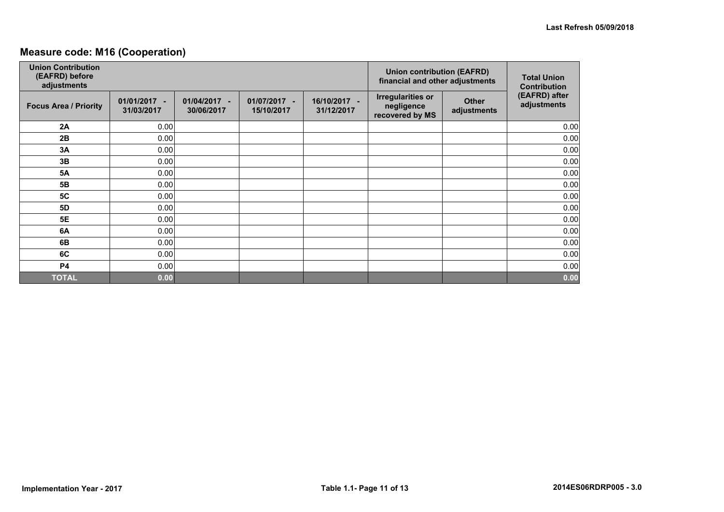## **Measure code: M16 (Cooperation)**

| <b>Union Contribution</b><br>(EAFRD) before<br>adjustments |                            |                                            |                            |                            | <b>Union contribution (EAFRD)</b><br>financial and other adjustments |                             | <b>Total Union</b><br><b>Contribution</b> |
|------------------------------------------------------------|----------------------------|--------------------------------------------|----------------------------|----------------------------|----------------------------------------------------------------------|-----------------------------|-------------------------------------------|
| <b>Focus Area / Priority</b>                               | 01/01/2017 -<br>31/03/2017 | 01/04/2017<br>$\blacksquare$<br>30/06/2017 | 01/07/2017 -<br>15/10/2017 | 16/10/2017 -<br>31/12/2017 | <b>Irregularities or</b><br>negligence<br>recovered by MS            | <b>Other</b><br>adjustments | (EAFRD) after<br>adjustments              |
| 2A                                                         | 0.00                       |                                            |                            |                            |                                                                      |                             | 0.00                                      |
| 2B                                                         | 0.00                       |                                            |                            |                            |                                                                      |                             | 0.00                                      |
| 3A                                                         | 0.00                       |                                            |                            |                            |                                                                      |                             | 0.00                                      |
| 3B                                                         | 0.00                       |                                            |                            |                            |                                                                      |                             | 0.00                                      |
| <b>5A</b>                                                  | 0.00                       |                                            |                            |                            |                                                                      |                             | 0.00                                      |
| 5B                                                         | 0.00                       |                                            |                            |                            |                                                                      |                             | 0.00                                      |
| <b>5C</b>                                                  | 0.00                       |                                            |                            |                            |                                                                      |                             | 0.00                                      |
| <b>5D</b>                                                  | 0.00                       |                                            |                            |                            |                                                                      |                             | 0.00                                      |
| <b>5E</b>                                                  | 0.00                       |                                            |                            |                            |                                                                      |                             | 0.00                                      |
| 6A                                                         | 0.00                       |                                            |                            |                            |                                                                      |                             | 0.00                                      |
| 6B                                                         | 0.00                       |                                            |                            |                            |                                                                      |                             | 0.00                                      |
| 6C                                                         | 0.00                       |                                            |                            |                            |                                                                      |                             | 0.00                                      |
| <b>P4</b>                                                  | 0.00                       |                                            |                            |                            |                                                                      |                             | 0.00                                      |
| <b>TOTAL</b>                                               | 0.00                       |                                            |                            |                            |                                                                      |                             | 0.00                                      |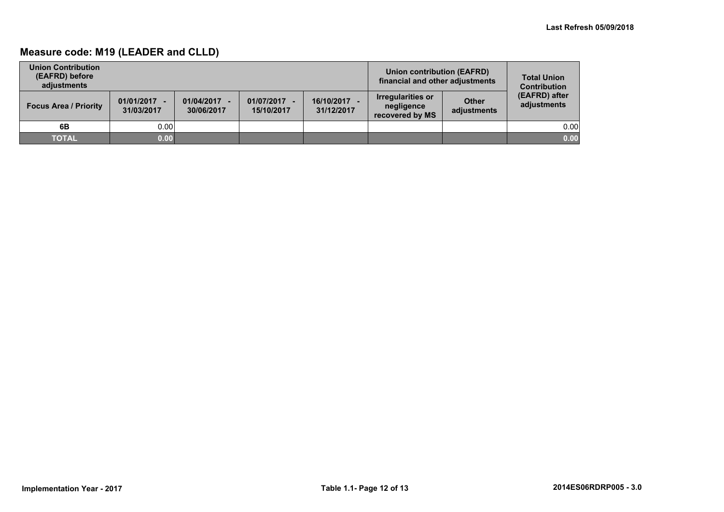## **Measure code: M19 (LEADER and CLLD)**

| <b>Union Contribution</b><br>(EAFRD) before<br>adiustments |                              |                          |                            | Union contribution (EAFRD)<br>financial and other adjustments | <b>Total Union</b><br><b>Contribution</b>          |                             |                              |
|------------------------------------------------------------|------------------------------|--------------------------|----------------------------|---------------------------------------------------------------|----------------------------------------------------|-----------------------------|------------------------------|
| <b>Focus Area / Priority</b>                               | $01/01/2017 -$<br>31/03/2017 | 01/04/2017<br>30/06/2017 | 01/07/2017 -<br>15/10/2017 | 16/10/2017<br>31/12/2017                                      | Irregularities or<br>negligence<br>recovered by MS | <b>Other</b><br>adjustments | (EAFRD) after<br>adjustments |
| 6B                                                         | 0.00                         |                          |                            |                                                               |                                                    |                             | 0.00                         |
| <b>TOTAL</b>                                               | 0.00                         |                          |                            |                                                               |                                                    |                             | 0.00                         |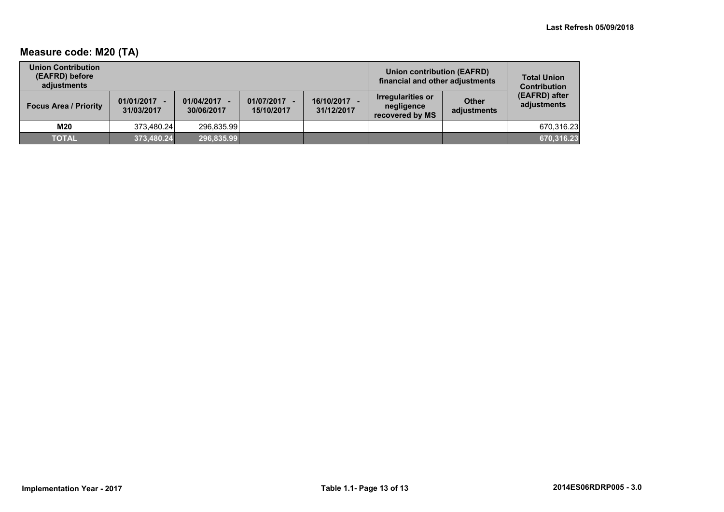## **Measure code: M20 (TA)**

| <b>Union Contribution</b><br>(EAFRD) before<br>adiustments |                              |                          |                            |                          | Union contribution (EAFRD)<br>financial and other adjustments |                             | <b>Total Union</b><br><b>Contribution</b> |
|------------------------------------------------------------|------------------------------|--------------------------|----------------------------|--------------------------|---------------------------------------------------------------|-----------------------------|-------------------------------------------|
| <b>Focus Area / Priority</b>                               | $01/01/2017 -$<br>31/03/2017 | 01/04/2017<br>30/06/2017 | 01/07/2017 -<br>15/10/2017 | 16/10/2017<br>31/12/2017 | Irregularities or<br>negligence<br>recovered by MS            | <b>Other</b><br>adjustments | (EAFRD) after<br>adjustments              |
| M20                                                        | 373.480.24                   | 296.835.99               |                            |                          |                                                               |                             | 670.316.23                                |
| <b>TOTAL</b>                                               | 373,480.24                   | 296,835.99               |                            |                          |                                                               |                             | 670,316.23                                |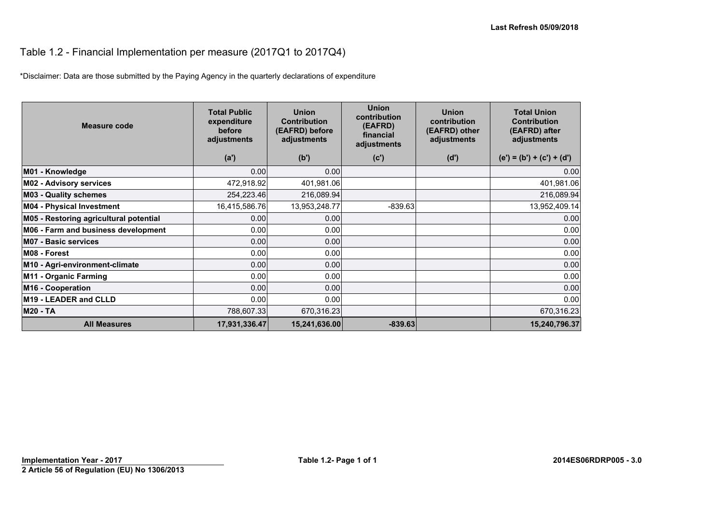## Table 1.2 - Financial Implementation per measure (2017Q1 to 2017Q4)

\*Disclaimer: Data are those submitted by the Paying Agency in the quarterly declarations of expenditure

| Measure code                           | <b>Total Public</b><br>expenditure<br>before<br>adjustments | <b>Union</b><br><b>Contribution</b><br>(EAFRD) before<br>adjustments | <b>Union</b><br>contribution<br>(EAFRD)<br>financial<br>adjustments | <b>Union</b><br>contribution<br>(EAFRD) other<br>adjustments | <b>Total Union</b><br><b>Contribution</b><br>(EAFRD) after<br>adjustments |
|----------------------------------------|-------------------------------------------------------------|----------------------------------------------------------------------|---------------------------------------------------------------------|--------------------------------------------------------------|---------------------------------------------------------------------------|
|                                        | (a')                                                        | (b')                                                                 | (c')                                                                | (d')                                                         | $(e') = (b') + (c') + (d')$                                               |
| M01 - Knowledge                        | 0.00                                                        | 0.00                                                                 |                                                                     |                                                              | 0.00                                                                      |
| <b>M02 - Advisory services</b>         | 472,918.92                                                  | 401,981.06                                                           |                                                                     |                                                              | 401,981.06                                                                |
| <b>M03 - Quality schemes</b>           | 254,223.46                                                  | 216,089.94                                                           |                                                                     |                                                              | 216,089.94                                                                |
| <b>M04 - Physical Investment</b>       | 16,415,586.76                                               | 13,953,248.77                                                        | $-839.63$                                                           |                                                              | 13,952,409.14                                                             |
| M05 - Restoring agricultural potential | 0.00                                                        | 0.00                                                                 |                                                                     |                                                              | 0.00                                                                      |
| M06 - Farm and business development    | 0.00                                                        | 0.00                                                                 |                                                                     |                                                              | 0.00                                                                      |
| <b>M07 - Basic services</b>            | 0.00                                                        | 0.00                                                                 |                                                                     |                                                              | 0.00                                                                      |
| M08 - Forest                           | 0.00                                                        | 0.00                                                                 |                                                                     |                                                              | 0.00                                                                      |
| M10 - Agri-environment-climate         | 0.00                                                        | 0.00                                                                 |                                                                     |                                                              | 0.00                                                                      |
| M11 - Organic Farming                  | 0.00                                                        | 0.00                                                                 |                                                                     |                                                              | 0.00                                                                      |
| M <sub>16</sub> - Cooperation          | 0.00                                                        | 0.00                                                                 |                                                                     |                                                              | 0.00                                                                      |
| M <sub>19</sub> - LEADER and CLLD      | 0.00                                                        | 0.00                                                                 |                                                                     |                                                              | 0.00                                                                      |
| <b>M20 - TA</b>                        | 788,607.33                                                  | 670,316.23                                                           |                                                                     |                                                              | 670,316.23                                                                |
| <b>All Measures</b>                    | 17,931,336.47                                               | 15,241,636.00                                                        | $-839.63$                                                           |                                                              | 15,240,796.37                                                             |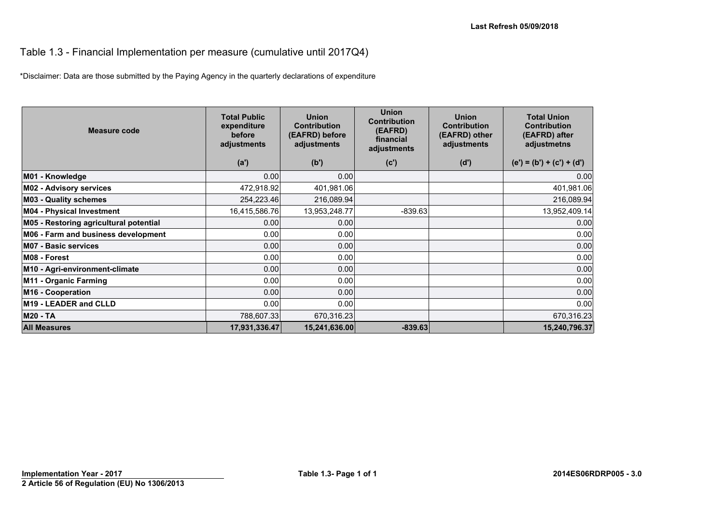#### Table 1.3 - Financial Implementation per measure (cumulative until 2017Q4)

\*Disclaimer: Data are those submitted by the Paying Agency in the quarterly declarations of expenditure

| Measure code                           | <b>Total Public</b><br>expenditure<br>before<br>adjustments | <b>Union</b><br><b>Contribution</b><br>(EAFRD) before<br>adjustments | <b>Union</b><br><b>Contribution</b><br>(EAFRD)<br>financial<br>adjustments | <b>Union</b><br><b>Contribution</b><br>(EAFRD) other<br>adjustments | <b>Total Union</b><br><b>Contribution</b><br>(EAFRD) after<br>adjustmetns |
|----------------------------------------|-------------------------------------------------------------|----------------------------------------------------------------------|----------------------------------------------------------------------------|---------------------------------------------------------------------|---------------------------------------------------------------------------|
|                                        | (a')                                                        | (b')                                                                 | (c')                                                                       | (d')                                                                | $(e') = (b') + (c') + (d')$                                               |
| M01 - Knowledge                        | 0.00                                                        | 0.00                                                                 |                                                                            |                                                                     | 0.00                                                                      |
| <b>M02 - Advisory services</b>         | 472,918.92                                                  | 401,981.06                                                           |                                                                            |                                                                     | 401,981.06                                                                |
| <b>M03 - Quality schemes</b>           | 254,223.46                                                  | 216,089.94                                                           |                                                                            |                                                                     | 216,089.94                                                                |
| <b>M04 - Physical Investment</b>       | 16,415,586.76                                               | 13,953,248.77                                                        | $-839.63$                                                                  |                                                                     | 13,952,409.14                                                             |
| M05 - Restoring agricultural potential | 0.00                                                        | 0.00                                                                 |                                                                            |                                                                     | 0.00                                                                      |
| M06 - Farm and business development    | 0.00                                                        | 0.00                                                                 |                                                                            |                                                                     | 0.00                                                                      |
| <b>M07 - Basic services</b>            | 0.00                                                        | 0.00                                                                 |                                                                            |                                                                     | 0.00                                                                      |
| M08 - Forest                           | 0.00                                                        | 0.00                                                                 |                                                                            |                                                                     | 0.00                                                                      |
| M10 - Agri-environment-climate         | 0.00                                                        | 0.00                                                                 |                                                                            |                                                                     | 0.00                                                                      |
| M11 - Organic Farming                  | 0.00                                                        | 0.00                                                                 |                                                                            |                                                                     | 0.00                                                                      |
| M16 - Cooperation                      | 0.00                                                        | 0.00                                                                 |                                                                            |                                                                     | 0.00                                                                      |
| M19 - LEADER and CLLD                  | 0.00                                                        | 0.00                                                                 |                                                                            |                                                                     | 0.00                                                                      |
| <b>M20 - TA</b>                        | 788,607.33                                                  | 670,316.23                                                           |                                                                            |                                                                     | 670,316.23                                                                |
| <b>All Measures</b>                    | 17,931,336.47                                               | 15,241,636.00                                                        | $-839.63$                                                                  |                                                                     | 15,240,796.37                                                             |